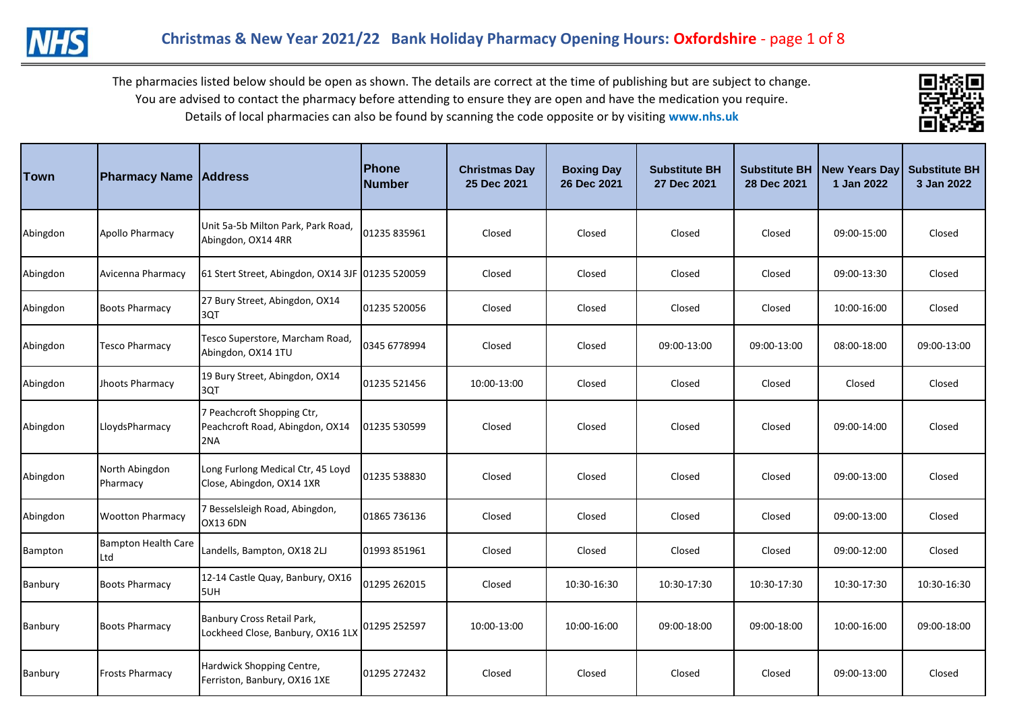



| <b>Town</b> | <b>Pharmacy Name Address</b>      |                                                                      | <b>Phone</b><br><b>Number</b> | <b>Christmas Day</b><br>25 Dec 2021 | <b>Boxing Day</b><br>26 Dec 2021 | <b>Substitute BH</b><br>27 Dec 2021 | <b>Substitute BH</b><br>28 Dec 2021 | New Years Day<br>1 Jan 2022 | <b>Substitute BH</b><br>3 Jan 2022 |
|-------------|-----------------------------------|----------------------------------------------------------------------|-------------------------------|-------------------------------------|----------------------------------|-------------------------------------|-------------------------------------|-----------------------------|------------------------------------|
| Abingdon    | Apollo Pharmacy                   | Unit 5a-5b Milton Park, Park Road,<br>Abingdon, OX14 4RR             | 01235 835961                  | Closed                              | Closed                           | Closed                              | Closed                              | 09:00-15:00                 | Closed                             |
| Abingdon    | Avicenna Pharmacy                 | 61 Stert Street, Abingdon, OX14 3JF 01235 520059                     |                               | Closed                              | Closed                           | Closed                              | Closed                              | 09:00-13:30                 | Closed                             |
| Abingdon    | <b>Boots Pharmacy</b>             | 27 Bury Street, Abingdon, OX14<br>3QT                                | 01235 520056                  | Closed                              | Closed                           | Closed                              | Closed                              | 10:00-16:00                 | Closed                             |
| Abingdon    | <b>Tesco Pharmacy</b>             | Tesco Superstore, Marcham Road,<br>Abingdon, OX14 1TU                | 0345 6778994                  | Closed                              | Closed                           | 09:00-13:00                         | 09:00-13:00                         | 08:00-18:00                 | 09:00-13:00                        |
| Abingdon    | Jhoots Pharmacy                   | 19 Bury Street, Abingdon, OX14<br>3QT                                | 01235 521456                  | 10:00-13:00                         | Closed                           | Closed                              | Closed                              | Closed                      | Closed                             |
| Abingdon    | LloydsPharmacy                    | 7 Peachcroft Shopping Ctr,<br>Peachcroft Road, Abingdon, OX14<br>2NA | 01235 530599                  | Closed                              | Closed                           | Closed                              | Closed                              | 09:00-14:00                 | Closed                             |
| Abingdon    | North Abingdon<br>Pharmacy        | Long Furlong Medical Ctr, 45 Loyd<br>Close, Abingdon, OX14 1XR       | 01235 538830                  | Closed                              | Closed                           | Closed                              | Closed                              | 09:00-13:00                 | Closed                             |
| Abingdon    | <b>Wootton Pharmacy</b>           | 7 Besselsleigh Road, Abingdon,<br><b>OX13 6DN</b>                    | 01865 736136                  | Closed                              | Closed                           | Closed                              | Closed                              | 09:00-13:00                 | Closed                             |
| Bampton     | <b>Bampton Health Care</b><br>Ltd | Landells, Bampton, OX18 2LJ                                          | 01993 851961                  | Closed                              | Closed                           | Closed                              | Closed                              | 09:00-12:00                 | Closed                             |
| Banbury     | <b>Boots Pharmacy</b>             | 12-14 Castle Quay, Banbury, OX16<br>5UH                              | 01295 262015                  | Closed                              | 10:30-16:30                      | 10:30-17:30                         | 10:30-17:30                         | 10:30-17:30                 | 10:30-16:30                        |
| Banbury     | <b>Boots Pharmacy</b>             | Banbury Cross Retail Park,<br>Lockheed Close, Banbury, OX16 1LX      | 01295 252597                  | 10:00-13:00                         | 10:00-16:00                      | 09:00-18:00                         | 09:00-18:00                         | 10:00-16:00                 | 09:00-18:00                        |
| Banbury     | <b>Frosts Pharmacy</b>            | Hardwick Shopping Centre,<br>Ferriston, Banbury, OX16 1XE            | 01295 272432                  | Closed                              | Closed                           | Closed                              | Closed                              | 09:00-13:00                 | Closed                             |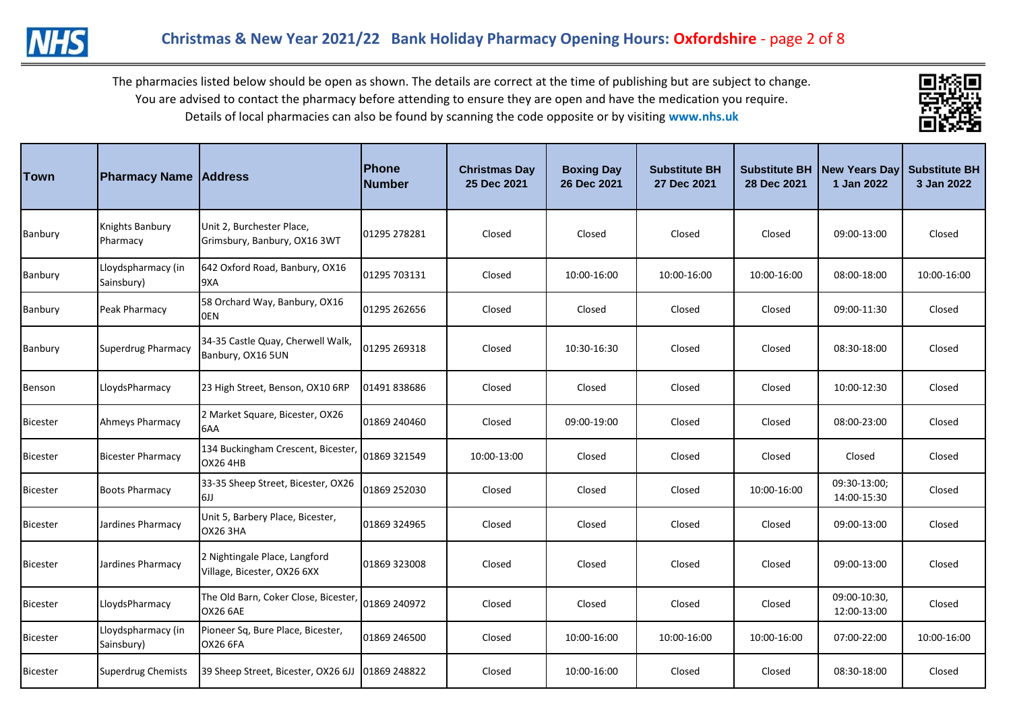



| Town            | <b>Pharmacy Name Address</b>     |                                                              | Phone<br><b>Number</b> | <b>Christmas Day</b><br>25 Dec 2021 | <b>Boxing Day</b><br>26 Dec 2021 | <b>Substitute BH</b><br>27 Dec 2021 | <b>Substitute BH</b><br>28 Dec 2021 | <b>New Years Day</b><br>1 Jan 2022 | <b>Substitute BH</b><br>3 Jan 2022 |
|-----------------|----------------------------------|--------------------------------------------------------------|------------------------|-------------------------------------|----------------------------------|-------------------------------------|-------------------------------------|------------------------------------|------------------------------------|
| Banbury         | Knights Banbury<br>Pharmacy      | Unit 2, Burchester Place,<br>Grimsbury, Banbury, OX16 3WT    | 01295 278281           | Closed                              | Closed                           | Closed                              | Closed                              | 09:00-13:00                        | Closed                             |
| Banbury         | Lloydspharmacy (in<br>Sainsbury) | 642 Oxford Road, Banbury, OX16<br>9XA                        | 01295 703131           | Closed                              | 10:00-16:00                      | 10:00-16:00                         | 10:00-16:00                         | 08:00-18:00                        | 10:00-16:00                        |
| Banbury         | Peak Pharmacy                    | 58 Orchard Way, Banbury, OX16<br>0EN                         | 01295 262656           | Closed                              | Closed                           | Closed                              | Closed                              | 09:00-11:30                        | Closed                             |
| Banbury         | Superdrug Pharmacy               | 34-35 Castle Quay, Cherwell Walk,<br>Banbury, OX16 5UN       | 01295 269318           | Closed                              | 10:30-16:30                      | Closed                              | Closed                              | 08:30-18:00                        | Closed                             |
| Benson          | LloydsPharmacy                   | 23 High Street, Benson, OX10 6RP                             | 01491 838686           | Closed                              | Closed                           | Closed                              | Closed                              | 10:00-12:30                        | Closed                             |
| <b>Bicester</b> | <b>Ahmeys Pharmacy</b>           | 2 Market Square, Bicester, OX26<br>6AA                       | 01869 240460           | Closed                              | 09:00-19:00                      | Closed                              | Closed                              | 08:00-23:00                        | Closed                             |
| <b>Bicester</b> | <b>Bicester Pharmacy</b>         | 134 Buckingham Crescent, Bicester,<br><b>OX26 4HB</b>        | 01869 321549           | 10:00-13:00                         | Closed                           | Closed                              | Closed                              | Closed                             | Closed                             |
| <b>Bicester</b> | <b>Boots Pharmacy</b>            | 33-35 Sheep Street, Bicester, OX26<br>6JJ                    | 01869 252030           | Closed                              | Closed                           | Closed                              | 10:00-16:00                         | 09:30-13:00;<br>14:00-15:30        | Closed                             |
| <b>Bicester</b> | Jardines Pharmacy                | Unit 5, Barbery Place, Bicester,<br><b>OX26 3HA</b>          | 01869 324965           | Closed                              | Closed                           | Closed                              | Closed                              | 09:00-13:00                        | Closed                             |
| <b>Bicester</b> | Jardines Pharmacy                | 2 Nightingale Place, Langford<br>Village, Bicester, OX26 6XX | 01869 323008           | Closed                              | Closed                           | Closed                              | Closed                              | 09:00-13:00                        | Closed                             |
| <b>Bicester</b> | LloydsPharmacy                   | The Old Barn, Coker Close, Bicester,<br><b>OX26 6AE</b>      | 01869 240972           | Closed                              | Closed                           | Closed                              | Closed                              | 09:00-10:30,<br>12:00-13:00        | Closed                             |
| <b>Bicester</b> | Lloydspharmacy (in<br>Sainsbury) | Pioneer Sq, Bure Place, Bicester,<br>OX26 6FA                | 01869 246500           | Closed                              | 10:00-16:00                      | 10:00-16:00                         | 10:00-16:00                         | 07:00-22:00                        | 10:00-16:00                        |
| Bicester        | Superdrug Chemists               | 39 Sheep Street, Bicester, OX26 6JJ 01869 248822             |                        | Closed                              | 10:00-16:00                      | Closed                              | Closed                              | 08:30-18:00                        | Closed                             |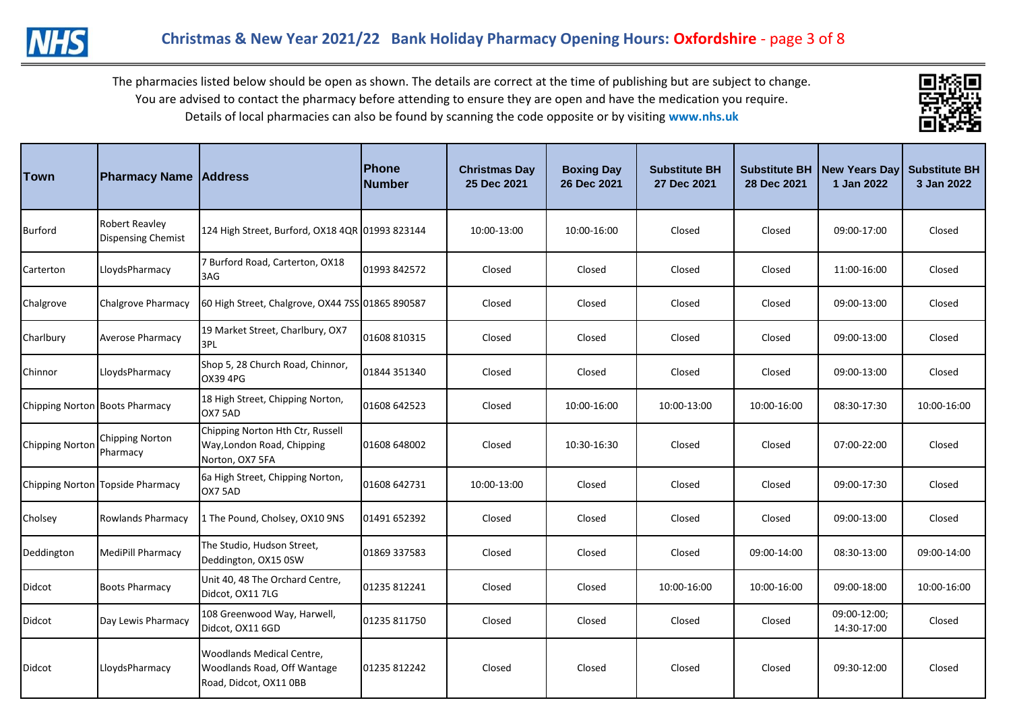



| Town                   | <b>Pharmacy Name Address</b>                |                                                                                    | <b>Phone</b><br>Number | <b>Christmas Day</b><br>25 Dec 2021 | <b>Boxing Day</b><br>26 Dec 2021 | <b>Substitute BH</b><br>27 Dec 2021 | <b>Substitute BH</b><br>28 Dec 2021 | <b>New Years Day</b><br>1 Jan 2022 | <b>Substitute BH</b><br>3 Jan 2022 |
|------------------------|---------------------------------------------|------------------------------------------------------------------------------------|------------------------|-------------------------------------|----------------------------------|-------------------------------------|-------------------------------------|------------------------------------|------------------------------------|
| Burford                | Robert Reavley<br><b>Dispensing Chemist</b> | 124 High Street, Burford, OX18 4QR 01993 823144                                    |                        | 10:00-13:00                         | 10:00-16:00                      | Closed                              | Closed                              | 09:00-17:00                        | Closed                             |
| Carterton              | LloydsPharmacy                              | 7 Burford Road, Carterton, OX18<br>3AG                                             | 01993 842572           | Closed                              | Closed                           | Closed                              | Closed                              | 11:00-16:00                        | Closed                             |
| Chalgrove              | Chalgrove Pharmacy                          | 60 High Street, Chalgrove, OX44 7SS 01865 890587                                   |                        | Closed                              | Closed                           | Closed                              | Closed                              | 09:00-13:00                        | Closed                             |
| Charlbury              | <b>Averose Pharmacy</b>                     | 19 Market Street, Charlbury, OX7<br>3PL                                            | 01608 810315           | Closed                              | Closed                           | Closed                              | Closed                              | 09:00-13:00                        | Closed                             |
| Chinnor                | LloydsPharmacy                              | Shop 5, 28 Church Road, Chinnor,<br>OX39 4PG                                       | 01844 351340           | Closed                              | Closed                           | Closed                              | Closed                              | 09:00-13:00                        | Closed                             |
|                        | Chipping Norton Boots Pharmacy              | 18 High Street, Chipping Norton,<br>OX7 5AD                                        | 01608 642523           | Closed                              | 10:00-16:00                      | 10:00-13:00                         | 10:00-16:00                         | 08:30-17:30                        | 10:00-16:00                        |
| <b>Chipping Norton</b> | <b>Chipping Norton</b><br>Pharmacy          | Chipping Norton Hth Ctr, Russell<br>Way, London Road, Chipping<br>Norton, OX7 5FA  | 01608 648002           | Closed                              | 10:30-16:30                      | Closed                              | Closed                              | 07:00-22:00                        | Closed                             |
|                        | Chipping Norton Topside Pharmacy            | 6a High Street, Chipping Norton,<br>OX7 5AD                                        | 01608 642731           | 10:00-13:00                         | Closed                           | Closed                              | Closed                              | 09:00-17:30                        | Closed                             |
| Cholsey                | <b>Rowlands Pharmacy</b>                    | 1 The Pound, Cholsey, OX10 9NS                                                     | 01491 652392           | Closed                              | Closed                           | Closed                              | Closed                              | 09:00-13:00                        | Closed                             |
| Deddington             | MediPill Pharmacy                           | The Studio, Hudson Street,<br>Deddington, OX15 0SW                                 | 01869 337583           | Closed                              | Closed                           | Closed                              | 09:00-14:00                         | 08:30-13:00                        | 09:00-14:00                        |
| Didcot                 | <b>Boots Pharmacy</b>                       | Unit 40, 48 The Orchard Centre,<br>Didcot, OX11 7LG                                | 01235 812241           | Closed                              | Closed                           | 10:00-16:00                         | 10:00-16:00                         | 09:00-18:00                        | 10:00-16:00                        |
| Didcot                 | Day Lewis Pharmacy                          | 108 Greenwood Way, Harwell,<br>Didcot, OX11 6GD                                    | 01235 811750           | Closed                              | Closed                           | Closed                              | Closed                              | 09:00-12:00;<br>14:30-17:00        | Closed                             |
| Didcot                 | LloydsPharmacy                              | Woodlands Medical Centre,<br>Woodlands Road, Off Wantage<br>Road, Didcot, OX11 0BB | 01235 812242           | Closed                              | Closed                           | Closed                              | Closed                              | 09:30-12:00                        | Closed                             |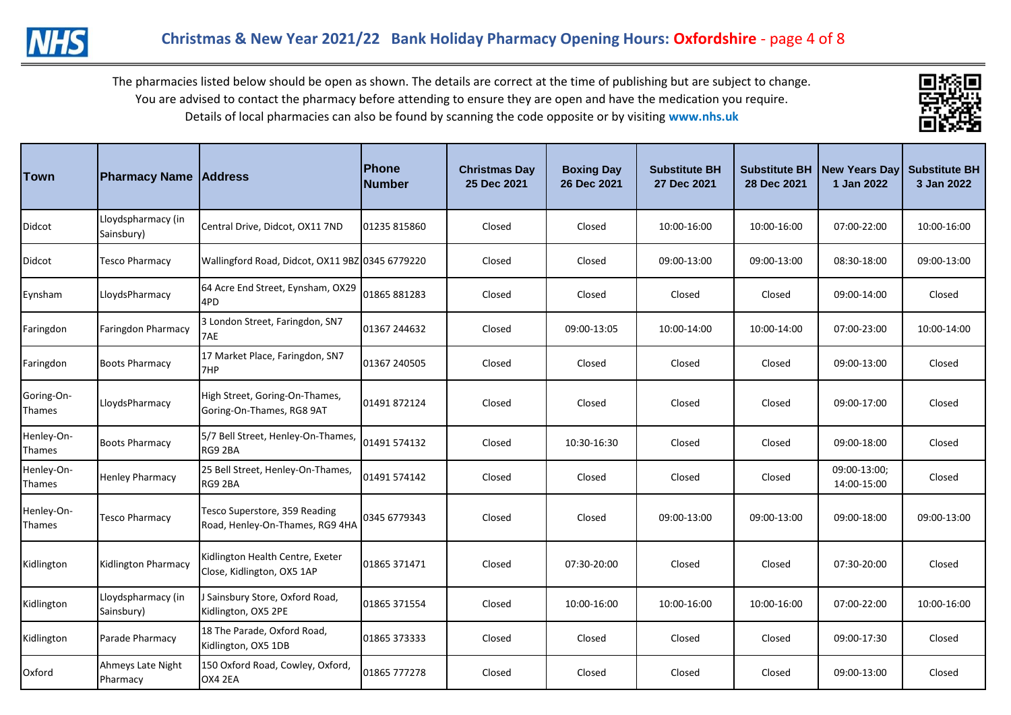



| Town                 | <b>Pharmacy Name Address</b>     |                                                                  | Phone<br>Number | <b>Christmas Day</b><br>25 Dec 2021 | <b>Boxing Day</b><br>26 Dec 2021 | <b>Substitute BH</b><br>27 Dec 2021 | <b>Substitute BH</b><br>28 Dec 2021 | <b>New Years Day</b><br>1 Jan 2022 | <b>Substitute BH</b><br>3 Jan 2022 |
|----------------------|----------------------------------|------------------------------------------------------------------|-----------------|-------------------------------------|----------------------------------|-------------------------------------|-------------------------------------|------------------------------------|------------------------------------|
| Didcot               | Lloydspharmacy (in<br>Sainsbury) | Central Drive, Didcot, OX11 7ND                                  | 01235 815860    | Closed                              | Closed                           | 10:00-16:00                         | 10:00-16:00                         | 07:00-22:00                        | 10:00-16:00                        |
| Didcot               | <b>Tesco Pharmacy</b>            | Wallingford Road, Didcot, OX11 9BZ 0345 6779220                  |                 | Closed                              | Closed                           | 09:00-13:00                         | 09:00-13:00                         | 08:30-18:00                        | 09:00-13:00                        |
| Eynsham              | LloydsPharmacy                   | 64 Acre End Street, Eynsham, OX29<br>4PD                         | 01865 881283    | Closed                              | Closed                           | Closed                              | Closed                              | 09:00-14:00                        | Closed                             |
| Faringdon            | Faringdon Pharmacy               | 3 London Street, Faringdon, SN7<br>7AE                           | 01367 244632    | Closed                              | 09:00-13:05                      | 10:00-14:00                         | 10:00-14:00                         | 07:00-23:00                        | 10:00-14:00                        |
| Faringdon            | <b>Boots Pharmacy</b>            | 17 Market Place, Faringdon, SN7<br>7HP                           | 01367 240505    | Closed                              | Closed                           | Closed                              | Closed                              | 09:00-13:00                        | Closed                             |
| Goring-On-<br>Thames | LloydsPharmacy                   | High Street, Goring-On-Thames,<br>Goring-On-Thames, RG8 9AT      | 01491 872124    | Closed                              | Closed                           | Closed                              | Closed                              | 09:00-17:00                        | Closed                             |
| Henley-On-<br>Thames | <b>Boots Pharmacy</b>            | 5/7 Bell Street, Henley-On-Thames,<br>RG9 2BA                    | 01491 574132    | Closed                              | 10:30-16:30                      | Closed                              | Closed                              | 09:00-18:00                        | Closed                             |
| Henley-On-<br>Thames | <b>Henley Pharmacy</b>           | 25 Bell Street, Henley-On-Thames,<br>RG9 2BA                     | 01491 574142    | Closed                              | Closed                           | Closed                              | Closed                              | 09:00-13:00;<br>14:00-15:00        | Closed                             |
| Henley-On-<br>Thames | <b>Tesco Pharmacy</b>            | Tesco Superstore, 359 Reading<br>Road, Henley-On-Thames, RG9 4HA | 0345 6779343    | Closed                              | Closed                           | 09:00-13:00                         | 09:00-13:00                         | 09:00-18:00                        | 09:00-13:00                        |
| Kidlington           | Kidlington Pharmacy              | Kidlington Health Centre, Exeter<br>Close, Kidlington, OX5 1AP   | 01865 371471    | Closed                              | 07:30-20:00                      | Closed                              | Closed                              | 07:30-20:00                        | Closed                             |
| Kidlington           | Lloydspharmacy (in<br>Sainsbury) | Sainsbury Store, Oxford Road,<br>Kidlington, OX5 2PE             | 01865 371554    | Closed                              | 10:00-16:00                      | 10:00-16:00                         | 10:00-16:00                         | 07:00-22:00                        | 10:00-16:00                        |
| Kidlington           | Parade Pharmacy                  | 18 The Parade, Oxford Road,<br>Kidlington, OX5 1DB               | 01865 373333    | Closed                              | Closed                           | Closed                              | Closed                              | 09:00-17:30                        | Closed                             |
| Oxford               | Ahmeys Late Night<br>Pharmacy    | 150 Oxford Road, Cowley, Oxford,<br>OX4 2EA                      | 01865 777278    | Closed                              | Closed                           | Closed                              | Closed                              | 09:00-13:00                        | Closed                             |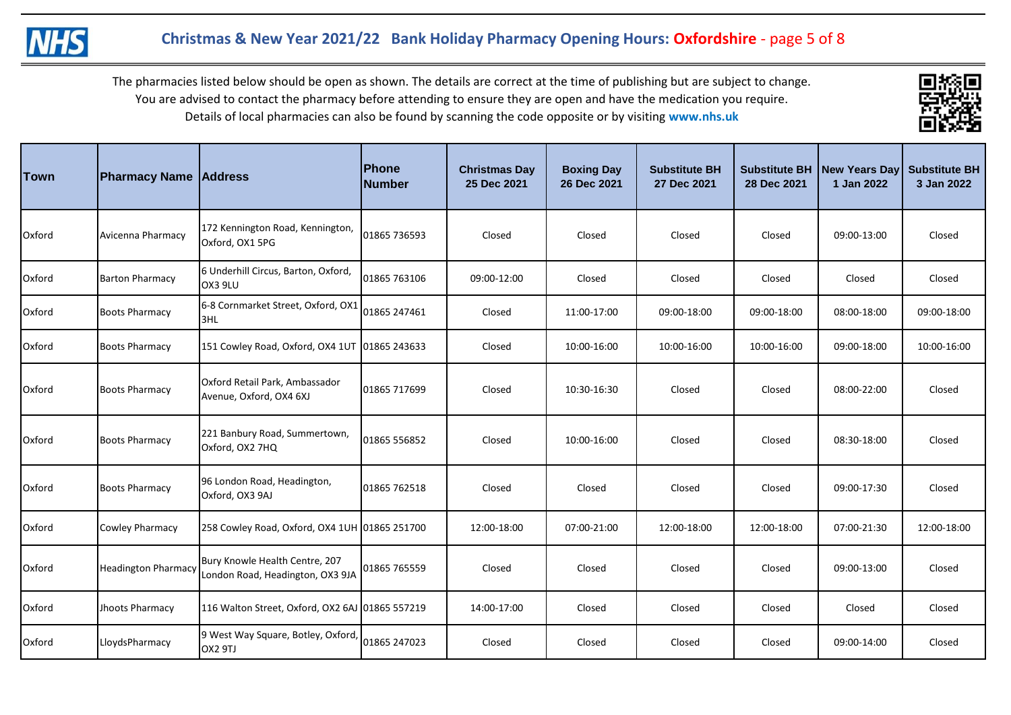



| Town          | <b>Pharmacy Name Address</b> |                                                                    | Phone<br><b>Number</b> | <b>Christmas Day</b><br>25 Dec 2021 | <b>Boxing Day</b><br>26 Dec 2021 | <b>Substitute BH</b><br>27 Dec 2021 | <b>Substitute BH</b><br>28 Dec 2021 | New Years Day<br>1 Jan 2022 | <b>Substitute BH</b><br>3 Jan 2022 |
|---------------|------------------------------|--------------------------------------------------------------------|------------------------|-------------------------------------|----------------------------------|-------------------------------------|-------------------------------------|-----------------------------|------------------------------------|
| Oxford        | Avicenna Pharmacy            | 172 Kennington Road, Kennington,<br>Oxford, OX1 5PG                | 01865 736593           | Closed                              | Closed                           | Closed                              | Closed                              | 09:00-13:00                 | Closed                             |
| Oxford        | <b>Barton Pharmacy</b>       | 6 Underhill Circus, Barton, Oxford,<br>OX3 9LU                     | 01865 763106           | 09:00-12:00                         | Closed                           | Closed                              | Closed                              | Closed                      | Closed                             |
| Oxford        | <b>Boots Pharmacy</b>        | 6-8 Cornmarket Street, Oxford, OX1<br>3HL                          | 01865 247461           | Closed                              | 11:00-17:00                      | 09:00-18:00                         | 09:00-18:00                         | 08:00-18:00                 | 09:00-18:00                        |
| Oxford        | <b>Boots Pharmacy</b>        | 151 Cowley Road, Oxford, OX4 1UT 01865 243633                      |                        | Closed                              | 10:00-16:00                      | 10:00-16:00                         | 10:00-16:00                         | 09:00-18:00                 | 10:00-16:00                        |
| <b>Oxford</b> | <b>Boots Pharmacy</b>        | Oxford Retail Park, Ambassador<br>Avenue, Oxford, OX4 6XJ          | 01865 717699           | Closed                              | 10:30-16:30                      | Closed                              | Closed                              | 08:00-22:00                 | Closed                             |
| Oxford        | <b>Boots Pharmacy</b>        | 221 Banbury Road, Summertown,<br>Oxford, OX2 7HQ                   | 01865 556852           | Closed                              | 10:00-16:00                      | Closed                              | Closed                              | 08:30-18:00                 | Closed                             |
| Oxford        | <b>Boots Pharmacy</b>        | 96 London Road, Headington,<br>Oxford, OX3 9AJ                     | 01865 762518           | Closed                              | Closed                           | Closed                              | Closed                              | 09:00-17:30                 | Closed                             |
| Oxford        | <b>Cowley Pharmacy</b>       | 258 Cowley Road, Oxford, OX4 1UH 01865 251700                      |                        | 12:00-18:00                         | 07:00-21:00                      | 12:00-18:00                         | 12:00-18:00                         | 07:00-21:30                 | 12:00-18:00                        |
| Oxford        | <b>Headington Pharmacy</b>   | Bury Knowle Health Centre, 207<br>London Road, Headington, OX3 9JA | 01865 765559           | Closed                              | Closed                           | Closed                              | Closed                              | 09:00-13:00                 | Closed                             |
| Oxford        | Jhoots Pharmacy              | 116 Walton Street, Oxford, OX2 6AJ 01865 557219                    |                        | 14:00-17:00                         | Closed                           | Closed                              | Closed                              | Closed                      | Closed                             |
| Oxford        | LloydsPharmacy               | 9 West Way Square, Botley, Oxford,<br>OX2 9TJ                      | 01865 247023           | Closed                              | Closed                           | Closed                              | Closed                              | 09:00-14:00                 | Closed                             |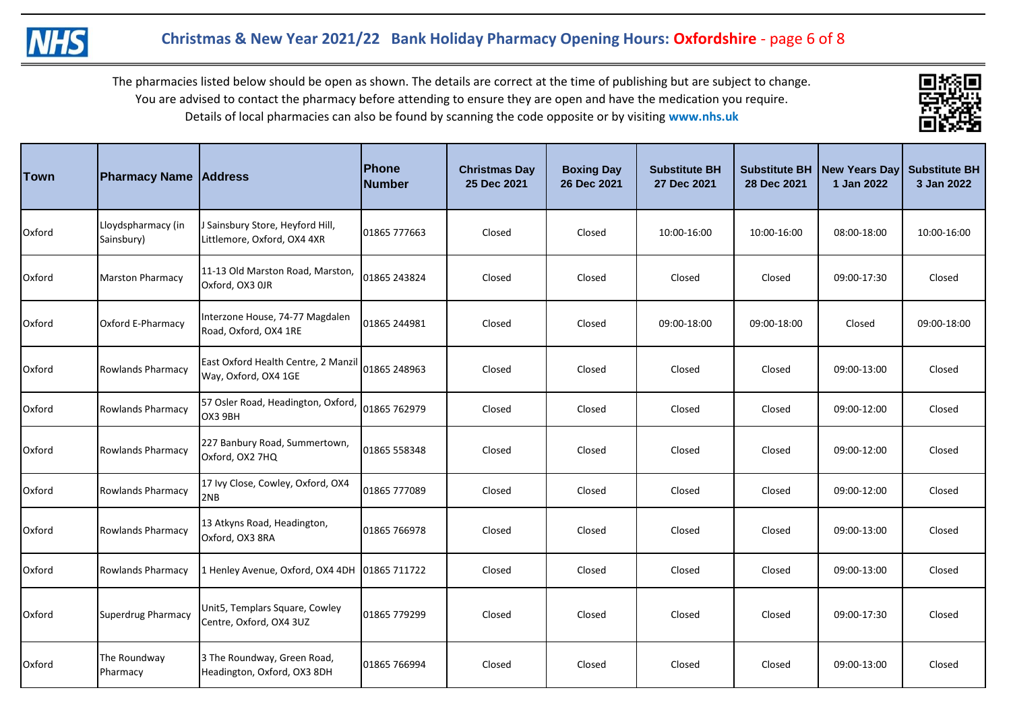



| <b>Town</b> | <b>Pharmacy Name Address</b>     |                                                                 | <b>Phone</b><br><b>Number</b> | <b>Christmas Day</b><br>25 Dec 2021 | <b>Boxing Day</b><br>26 Dec 2021 | <b>Substitute BH</b><br>27 Dec 2021 | <b>Substitute BH</b><br>28 Dec 2021 | New Years Day Substitute BH<br>1 Jan 2022 | 3 Jan 2022  |
|-------------|----------------------------------|-----------------------------------------------------------------|-------------------------------|-------------------------------------|----------------------------------|-------------------------------------|-------------------------------------|-------------------------------------------|-------------|
| Oxford      | Lloydspharmacy (in<br>Sainsbury) | J Sainsbury Store, Heyford Hill,<br>Littlemore, Oxford, OX4 4XR | 01865 777663                  | Closed                              | Closed                           | 10:00-16:00                         | 10:00-16:00                         | 08:00-18:00                               | 10:00-16:00 |
| Oxford      | <b>Marston Pharmacy</b>          | 11-13 Old Marston Road, Marston,<br>Oxford, OX3 OJR             | 01865 243824                  | Closed                              | Closed                           | Closed                              | Closed                              | 09:00-17:30                               | Closed      |
| Oxford      | Oxford E-Pharmacy                | Interzone House, 74-77 Magdalen<br>Road, Oxford, OX4 1RE        | 01865 244981                  | Closed                              | Closed                           | 09:00-18:00                         | 09:00-18:00                         | Closed                                    | 09:00-18:00 |
| Oxford      | <b>Rowlands Pharmacy</b>         | East Oxford Health Centre, 2 Manzil<br>Way, Oxford, OX4 1GE     | 01865 248963                  | Closed                              | Closed                           | Closed                              | Closed                              | 09:00-13:00                               | Closed      |
| Oxford      | <b>Rowlands Pharmacy</b>         | 57 Osler Road, Headington, Oxford,<br>OX3 9BH                   | 01865 762979                  | Closed                              | Closed                           | Closed                              | Closed                              | 09:00-12:00                               | Closed      |
| Oxford      | <b>Rowlands Pharmacy</b>         | 227 Banbury Road, Summertown,<br>Oxford, OX2 7HQ                | 01865 558348                  | Closed                              | Closed                           | Closed                              | Closed                              | 09:00-12:00                               | Closed      |
| Oxford      | <b>Rowlands Pharmacy</b>         | 17 Ivy Close, Cowley, Oxford, OX4<br>2NB                        | 01865 777089                  | Closed                              | Closed                           | Closed                              | Closed                              | 09:00-12:00                               | Closed      |
| Oxford      | <b>Rowlands Pharmacy</b>         | 13 Atkyns Road, Headington,<br>Oxford, OX3 8RA                  | 01865 766978                  | Closed                              | Closed                           | Closed                              | Closed                              | 09:00-13:00                               | Closed      |
| Oxford      | <b>Rowlands Pharmacy</b>         | 1 Henley Avenue, Oxford, OX4 4DH                                | 01865 711722                  | Closed                              | Closed                           | Closed                              | Closed                              | 09:00-13:00                               | Closed      |
| Oxford      | Superdrug Pharmacy               | Unit5, Templars Square, Cowley<br>Centre, Oxford, OX4 3UZ       | 01865 779299                  | Closed                              | Closed                           | Closed                              | Closed                              | 09:00-17:30                               | Closed      |
| Oxford      | The Roundway<br>Pharmacy         | 3 The Roundway, Green Road,<br>Headington, Oxford, OX3 8DH      | 01865 766994                  | Closed                              | Closed                           | Closed                              | Closed                              | 09:00-13:00                               | Closed      |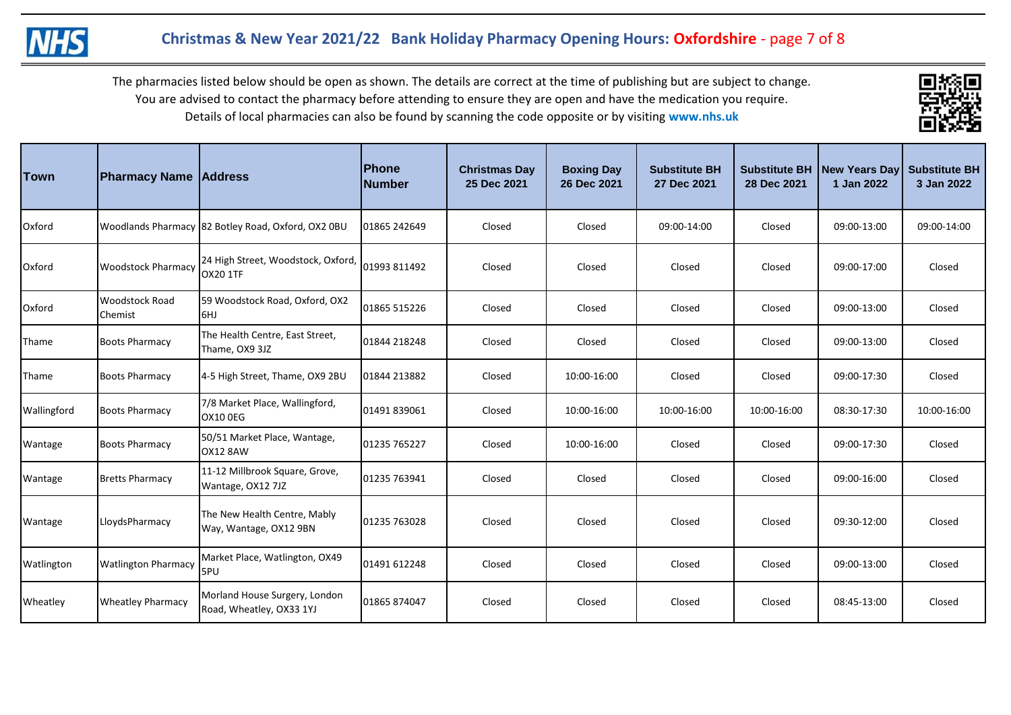



| Town        | <b>Pharmacy Name Address</b>            |                                                           | <b>Phone</b><br><b>Number</b> | <b>Christmas Day</b><br>25 Dec 2021 | <b>Boxing Day</b><br>26 Dec 2021 | <b>Substitute BH</b><br>27 Dec 2021 | <b>Substitute BH</b><br>28 Dec 2021 | New Years Day<br>1 Jan 2022 | <b>Substitute BH</b><br>3 Jan 2022 |
|-------------|-----------------------------------------|-----------------------------------------------------------|-------------------------------|-------------------------------------|----------------------------------|-------------------------------------|-------------------------------------|-----------------------------|------------------------------------|
| Oxford      |                                         | Woodlands Pharmacy 82 Botley Road, Oxford, OX2 0BU        | 01865 242649                  | Closed                              | Closed                           | 09:00-14:00                         | Closed                              | 09:00-13:00                 | 09:00-14:00                        |
| Oxford      | <b>Woodstock Pharmacy</b>               | 24 High Street, Woodstock, Oxford,<br><b>OX20 1TF</b>     | 01993 811492                  | Closed                              | Closed                           | Closed                              | Closed                              | 09:00-17:00                 | Closed                             |
| Oxford      | <b>Woodstock Road</b><br><b>Chemist</b> | 59 Woodstock Road, Oxford, OX2<br>6HJ                     | 01865 515226                  | Closed                              | Closed                           | Closed                              | Closed                              | 09:00-13:00                 | Closed                             |
| Thame       | <b>Boots Pharmacy</b>                   | The Health Centre, East Street,<br>Thame, OX9 3JZ         | 01844 218248                  | Closed                              | Closed                           | Closed                              | Closed                              | 09:00-13:00                 | Closed                             |
| Thame       | <b>Boots Pharmacy</b>                   | 4-5 High Street, Thame, OX9 2BU                           | 01844 213882                  | Closed                              | 10:00-16:00                      | Closed                              | Closed                              | 09:00-17:30                 | Closed                             |
| Wallingford | <b>Boots Pharmacy</b>                   | 7/8 Market Place, Wallingford,<br><b>OX10 0EG</b>         | 01491 839061                  | Closed                              | 10:00-16:00                      | 10:00-16:00                         | 10:00-16:00                         | 08:30-17:30                 | 10:00-16:00                        |
| Wantage     | <b>Boots Pharmacy</b>                   | 50/51 Market Place, Wantage,<br><b>OX12 8AW</b>           | 01235 765227                  | Closed                              | 10:00-16:00                      | Closed                              | Closed                              | 09:00-17:30                 | Closed                             |
| Wantage     | <b>Bretts Pharmacy</b>                  | 11-12 Millbrook Square, Grove,<br>Wantage, OX12 7JZ       | 01235 763941                  | Closed                              | Closed                           | Closed                              | Closed                              | 09:00-16:00                 | Closed                             |
| Wantage     | LloydsPharmacy                          | The New Health Centre, Mably<br>Way, Wantage, OX12 9BN    | 01235 763028                  | Closed                              | Closed                           | Closed                              | Closed                              | 09:30-12:00                 | Closed                             |
| Watlington  | <b>Watlington Pharmacy</b>              | Market Place, Watlington, OX49<br>5PU                     | 01491 612248                  | Closed                              | Closed                           | Closed                              | Closed                              | 09:00-13:00                 | Closed                             |
| Wheatley    | <b>Wheatley Pharmacy</b>                | Morland House Surgery, London<br>Road, Wheatley, OX33 1YJ | 01865 874047                  | Closed                              | Closed                           | Closed                              | Closed                              | 08:45-13:00                 | Closed                             |